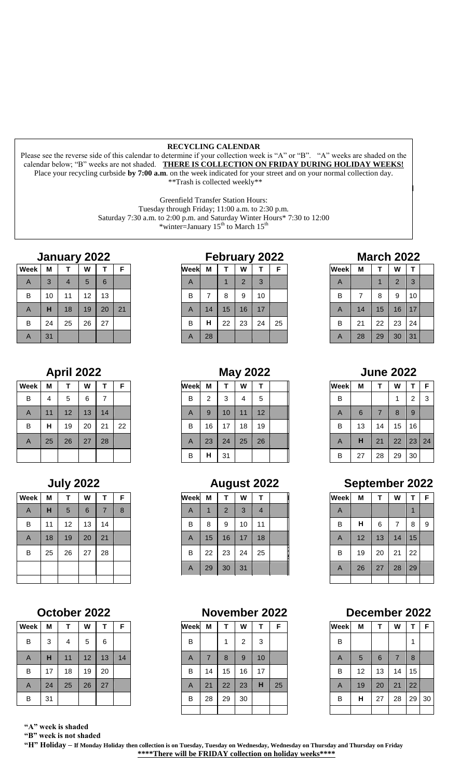### **RECYCLING CALENDAR**

Please see the reverse side of this calendar to determine if your collection week is "A" or "B". "A" weeks are shaded on the calendar below; "B" weeks are not shaded. **THERE IS COLLECTION ON FRIDAY DURING HOLIDAY WEEKS!** Place your recycling curbside **by 7:00 a.m**. on the week indicated for your street and on your normal collection day. \*\*Trash is collected weekly\*\*

Greenfield Transfer Station Hours:

Tuesday through Friday; 11:00 a.m. to 2:30 p.m.

Saturday 7:30 a.m. to 2:00 p.m. and Saturday Winter Hours\* 7:30 to 12:00

\*winter=January  $15<sup>th</sup>$  to March  $15<sup>th</sup>$ 

| Week           | M  |    | W  |    |    |
|----------------|----|----|----|----|----|
| $\overline{A}$ | 3  | 4  | h. | 6  |    |
| в              | 10 | 11 | 12 | 13 |    |
| $\overline{A}$ | н  | 18 | 19 | 20 | 21 |
| B              | 24 | 25 | 26 | 27 |    |
| $\overline{A}$ | 31 |    |    |    |    |

| <b>Week</b> | М  | т  | W  | т  | F  |
|-------------|----|----|----|----|----|
| B           | 4  | 5  | 6  | 7  |    |
| A           | 11 | 12 | 13 | 14 |    |
| B           | H  | 19 | 20 | 21 | 22 |
| A           | 25 | 26 | 27 | 28 |    |
|             |    |    |    |    |    |

| <b>Week</b>    | M  | т  | W               | т              | F |
|----------------|----|----|-----------------|----------------|---|
| $\overline{A}$ | H  | 5  | $6\phantom{1}6$ | $\overline{7}$ | 8 |
| B              | 11 | 12 | 13              | 14             |   |
| $\overline{A}$ | 18 | 19 | 20              | 21             |   |
| B              | 25 | 26 | 27              | 28             |   |
|                |    |    |                 |                |   |
|                |    |    |                 |                |   |

| Week | M  | т  | W  | Т  | F  |
|------|----|----|----|----|----|
| В    | 3  | 4  | 5  | 6  |    |
| A    | H  | 11 | 12 | 13 | 14 |
| В    | 17 | 18 | 19 | 20 |    |
| A    | 24 | 25 | 26 | 27 |    |
| В    | 31 |    |    |    |    |

 **"A" week is shaded**

 **"B" week is not shaded**

|      | repruary<br>ZUZZ |   |                |    |   |  |  |  |  |  |  |  |  |
|------|------------------|---|----------------|----|---|--|--|--|--|--|--|--|--|
| эekl | М                |   | w              |    | F |  |  |  |  |  |  |  |  |
|      |                  |   | $\overline{2}$ | 3  |   |  |  |  |  |  |  |  |  |
| В    |                  | 8 | 9              | 10 |   |  |  |  |  |  |  |  |  |
|      |                  |   |                |    |   |  |  |  |  |  |  |  |  |

| Week           | M  |    | W  |    | F  |
|----------------|----|----|----|----|----|
| B              | 4  | 5  | 6  |    |    |
| $\overline{A}$ | 11 | 12 | 13 | 14 |    |
| B              | н  | 19 | 20 | 21 | 22 |
| $\overline{A}$ | 25 | 26 | 27 | 28 |    |
|                |    |    |    |    |    |

| Week           | M  |    | W  |    |   | Week | M  |    | W  |    |  |
|----------------|----|----|----|----|---|------|----|----|----|----|--|
| $\overline{A}$ | н  | 5  | 6  |    | 8 | A    |    | 2  |    | 4  |  |
| B              | 11 | 12 | 13 | 14 |   | в    | 8  | 9  | 10 | 11 |  |
| $\overline{A}$ | 18 | 19 | 20 | 21 |   | A    | 15 | 16 | 17 | 18 |  |
| B              | 25 | 26 | 27 | 28 |   | B    | 22 | 23 | 24 | 25 |  |
|                |    |    |    |    |   | A    | 29 | 30 | 31 |    |  |

### **October 2022 November 2022 December 2022**

| Week           | M  |    | W  |    | F  |
|----------------|----|----|----|----|----|
| B              | 3  | 4  | 5  | 6  |    |
| $\overline{A}$ | н  | 11 | 12 | 13 | 14 |
| B              | 17 | 18 | 19 | 20 |    |
| $\overline{A}$ | 24 | 25 | 26 | 27 |    |
| B              | 31 |    |    |    |    |
|                |    |    |    |    |    |

## **January 2022 February 2022 March 2022**

| <b>Week</b>    | М  | T  | W              | Т  |  |
|----------------|----|----|----------------|----|--|
| $\overline{A}$ |    |    | $\overline{2}$ | 3  |  |
| $\mathsf B$    | 7  | 8  | 9              | 10 |  |
| $\overline{A}$ | 14 | 15 | 16             | 17 |  |
| B              | 21 | 22 | 23             | 24 |  |
| $\overline{A}$ | 28 | 29 | 30             | 31 |  |

# **April 2022 May 2022 June 2022**

| eek | M  |    | W  |    |  |
|-----|----|----|----|----|--|
| B   | 2  | 3  | 4  | 5  |  |
| А   | 9  | 10 | 11 | 12 |  |
| B   | 16 | 17 | 18 | 19 |  |
| Α   | 23 | 24 | 25 | 26 |  |
| B   | н  | 31 |    |    |  |

# **July 2022 August 2022 September 2022**

| <b>Week</b>    | М  | т  | W  | T  | F |
|----------------|----|----|----|----|---|
| $\overline{A}$ |    |    |    |    |   |
| B              | Н  | 6  | 7  | 8  | 9 |
| $\overline{A}$ | 12 | 13 | 14 | 15 |   |
| B              | 19 | 20 | 21 | 22 |   |
| $\overline{A}$ | 26 | 27 | 28 | 29 |   |
|                |    |    |    |    |   |

| <b>Week</b> | М  | Т               | W              | T  | F  |
|-------------|----|-----------------|----------------|----|----|
| В           |    |                 |                |    |    |
| A           | 5  | $6\phantom{1}6$ | $\overline{7}$ | 8  |    |
| B           | 12 | 13              | 14             | 15 |    |
| A           | 19 | 20              | 21             | 22 |    |
| В           | Н  | 27              | 28             | 29 | 30 |
|             |    |                 |                |    |    |

 **"H" Holiday – If Monday Holiday then collection is on Tuesday, Tuesday on Wednesday, Wednesday on Thursday and Thursday on Friday \*\*\*\*There will be FRIDAY collection on holiday weeks\*\*\*\***